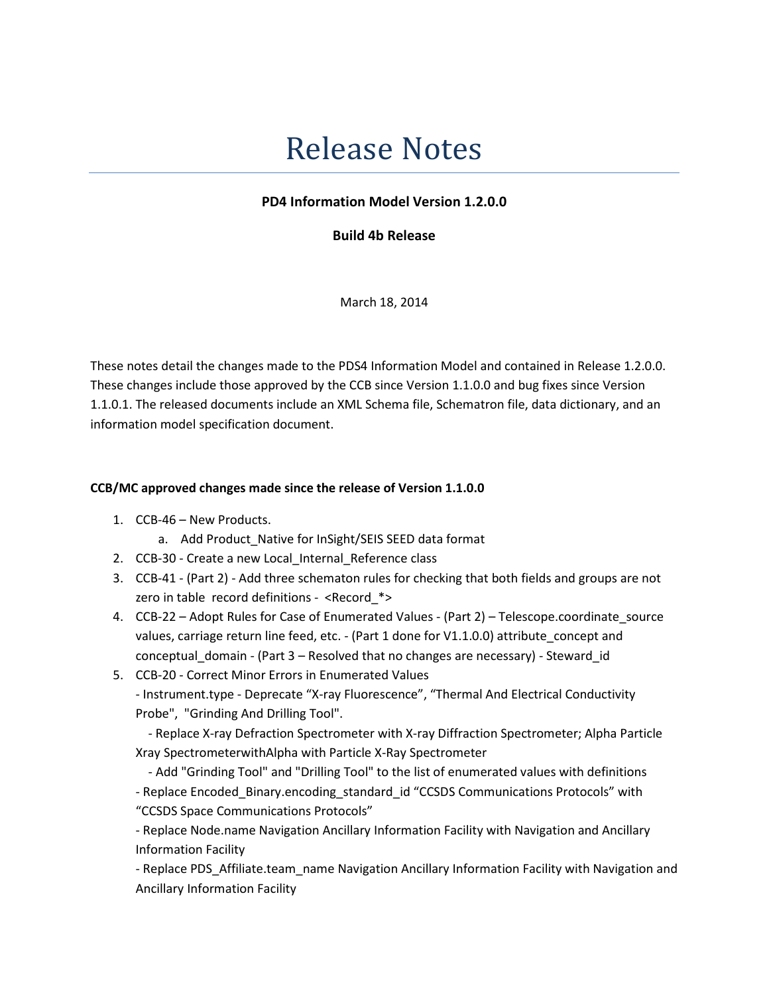## Release Notes

## PD4 Information Model Version 1.2.0.0

Build 4b Release

March 18, 2014

These notes detail the changes made to the PDS4 Information Model and contained in Release 1.2.0.0. These changes include those approved by the CCB since Version 1.1.0.0 and bug fixes since Version 1.1.0.1. The released documents include an XML Schema file, Schematron file, data dictionary, and an information model specification document.

## CCB/MC approved changes made since the release of Version 1.1.0.0

- 1. CCB-46 New Products.
	- a. Add Product\_Native for InSight/SEIS SEED data format
- 2. CCB-30 Create a new Local\_Internal\_Reference class
- 3. CCB-41 (Part 2) Add three schematon rules for checking that both fields and groups are not zero in table record definitions - <Record\_\*>
- 4. CCB-22 Adopt Rules for Case of Enumerated Values (Part 2) Telescope.coordinate\_source values, carriage return line feed, etc. - (Part 1 done for V1.1.0.0) attribute\_concept and conceptual\_domain - (Part 3 – Resolved that no changes are necessary) - Steward\_id
- 5. CCB-20 Correct Minor Errors in Enumerated Values - Instrument.type - Deprecate "X-ray Fluorescence", "Thermal And Electrical Conductivity Probe", "Grinding And Drilling Tool".

 - Replace X-ray Defraction Spectrometer with X-ray Diffraction Spectrometer; Alpha Particle Xray SpectrometerwithAlpha with Particle X-Ray Spectrometer

 - Add "Grinding Tool" and "Drilling Tool" to the list of enumerated values with definitions - Replace Encoded\_Binary.encoding\_standard\_id "CCSDS Communications Protocols" with "CCSDS Space Communications Protocols"

- Replace Node.name Navigation Ancillary Information Facility with Navigation and Ancillary Information Facility

- Replace PDS\_Affiliate.team\_name Navigation Ancillary Information Facility with Navigation and Ancillary Information Facility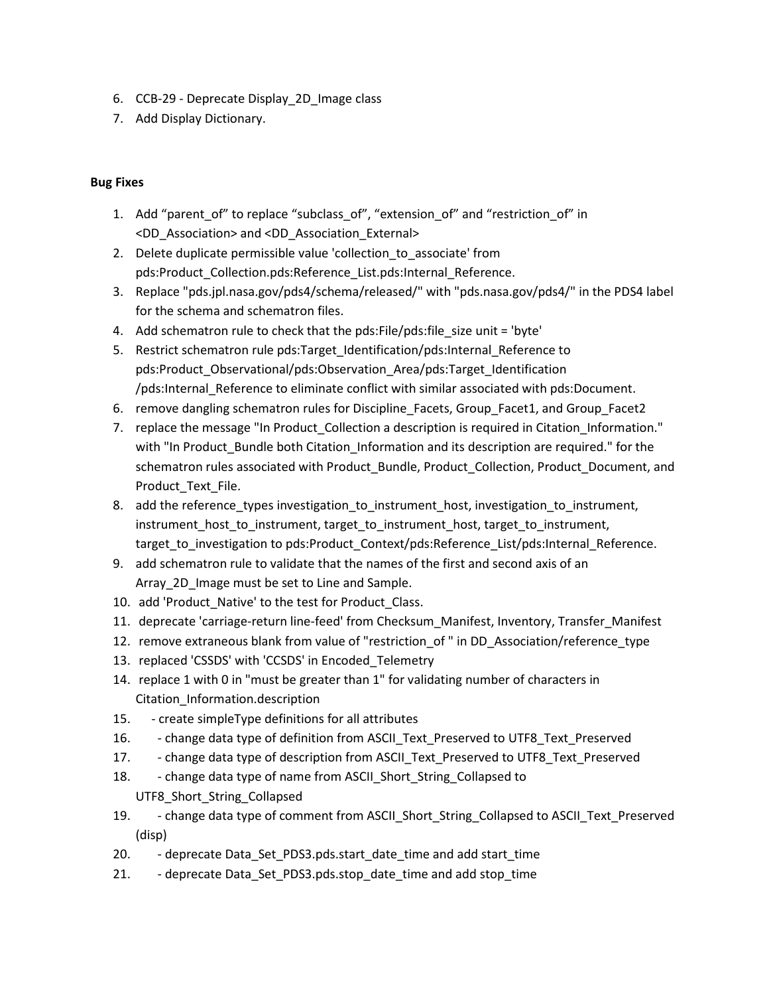- 6. CCB-29 Deprecate Display\_2D\_Image class
- 7. Add Display Dictionary.

## Bug Fixes

- 1. Add "parent\_of" to replace "subclass\_of", "extension\_of" and "restriction\_of" in <DD\_Association> and <DD\_Association\_External>
- 2. Delete duplicate permissible value 'collection to associate' from pds:Product Collection.pds:Reference List.pds:Internal Reference.
- 3. Replace "pds.jpl.nasa.gov/pds4/schema/released/" with "pds.nasa.gov/pds4/" in the PDS4 label for the schema and schematron files.
- 4. Add schematron rule to check that the pds: File/pds: file size unit = 'byte'
- 5. Restrict schematron rule pds:Target Identification/pds:Internal Reference to pds:Product\_Observational/pds:Observation\_Area/pds:Target\_Identification /pds:Internal\_Reference to eliminate conflict with similar associated with pds:Document.
- 6. remove dangling schematron rules for Discipline\_Facets, Group\_Facet1, and Group\_Facet2
- 7. replace the message "In Product Collection a description is required in Citation Information." with "In Product\_Bundle both Citation\_Information and its description are required." for the schematron rules associated with Product Bundle, Product Collection, Product Document, and Product\_Text\_File.
- 8. add the reference types investigation to instrument host, investigation to instrument, instrument\_host\_to\_instrument, target\_to\_instrument\_host, target\_to\_instrument, target\_to\_investigation to pds:Product\_Context/pds:Reference\_List/pds:Internal\_Reference.
- 9. add schematron rule to validate that the names of the first and second axis of an Array 2D Image must be set to Line and Sample.
- 10. add 'Product Native' to the test for Product Class.
- 11. deprecate 'carriage-return line-feed' from Checksum Manifest, Inventory, Transfer Manifest
- 12. remove extraneous blank from value of "restriction\_of " in DD\_Association/reference\_type
- 13. replaced 'CSSDS' with 'CCSDS' in Encoded\_Telemetry
- 14. replace 1 with 0 in "must be greater than 1" for validating number of characters in Citation\_Information.description
- 15. create simpleType definitions for all attributes
- 16. change data type of definition from ASCII\_Text\_Preserved to UTF8\_Text\_Preserved
- 17. change data type of description from ASCII Text Preserved to UTF8 Text Preserved
- 18. change data type of name from ASCII Short String Collapsed to UTF8\_Short\_String\_Collapsed
- 19. change data type of comment from ASCII\_Short\_String\_Collapsed to ASCII\_Text\_Preserved (disp)
- 20. deprecate Data\_Set\_PDS3.pds.start\_date\_time and add start\_time
- 21. deprecate Data\_Set\_PDS3.pds.stop\_date\_time and add stop\_time